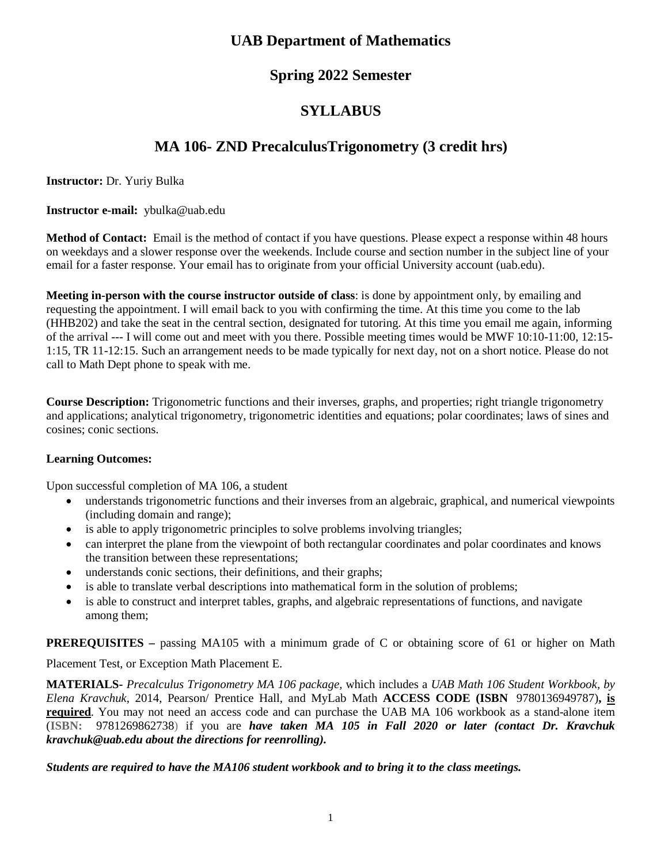## **UAB Department of Mathematics**

## **Spring 2022 Semester**

# **SYLLABUS**

# **MA 106- ZND PrecalculusTrigonometry (3 credit hrs)**

**Instructor:** Dr. Yuriy Bulka

**Instructor e-mail:** ybulka@uab.edu

**Method of Contact:** Email is the method of contact if you have questions. Please expect a response within 48 hours on weekdays and a slower response over the weekends. Include course and section number in the subject line of your email for a faster response. Your email has to originate from your official University account (uab.edu).

**Meeting in-person with the course instructor outside of class**: is done by appointment only, by emailing and requesting the appointment. I will email back to you with confirming the time. At this time you come to the lab (HHB202) and take the seat in the central section, designated for tutoring. At this time you email me again, informing of the arrival --- I will come out and meet with you there. Possible meeting times would be MWF 10:10-11:00, 12:15- 1:15, TR 11-12:15. Such an arrangement needs to be made typically for next day, not on a short notice. Please do not call to Math Dept phone to speak with me.

**Course Description:** Trigonometric functions and their inverses, graphs, and properties; right triangle trigonometry and applications; analytical trigonometry, trigonometric identities and equations; polar coordinates; laws of sines and cosines; conic sections.

## **Learning Outcomes:**

Upon successful completion of MA 106, a student

- understands trigonometric functions and their inverses from an algebraic, graphical, and numerical viewpoints (including domain and range);
- is able to apply trigonometric principles to solve problems involving triangles;
- can interpret the plane from the viewpoint of both rectangular coordinates and polar coordinates and knows the transition between these representations;
- understands conic sections, their definitions, and their graphs;
- is able to translate verbal descriptions into mathematical form in the solution of problems;
- is able to construct and interpret tables, graphs, and algebraic representations of functions, and navigate among them;

**PREREQUISITES** – passing MA105 with a minimum grade of C or obtaining score of 61 or higher on Math

Placement Test, or Exception Math Placement E.

**MATERIALS-** *Precalculus Trigonometry MA 106 package,* which includes a *UAB Math 106 Student Workbook, by Elena Kravchuk*, 2014, Pearson/ Prentice Hall, and MyLab Math **ACCESS CODE (ISBN** 9780136949787)**, is required**. You may not need an access code and can purchase the UAB MA 106 workbook as a stand-alone item (**ISBN:** 9781269862738) if you are *have taken MA 105 in Fall 2020 or later (contact Dr. Kravchuk kravchuk@uab.edu about the directions for reenrolling).*

*Students are required to have the MA106 student workbook and to bring it to the class meetings.*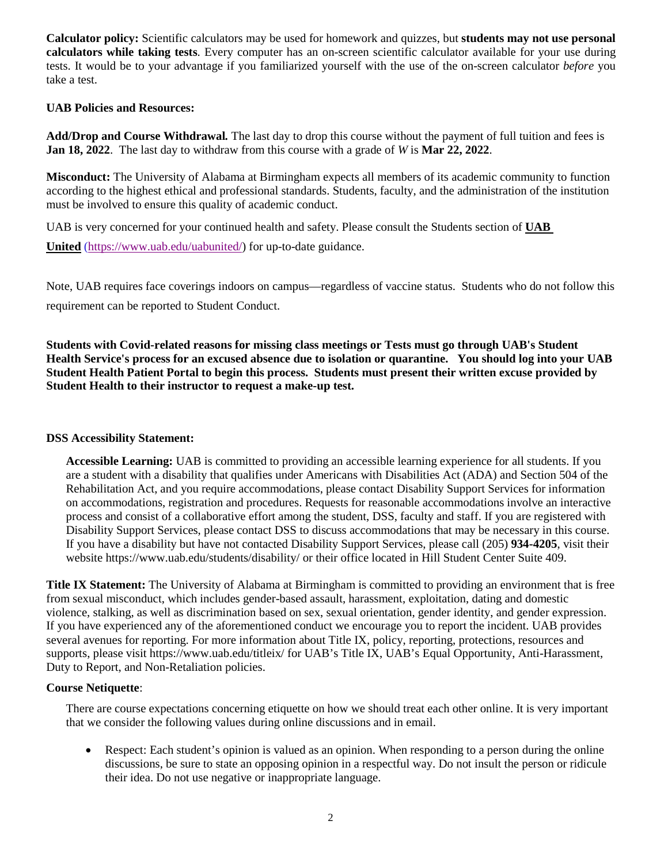**Calculator policy:** Scientific calculators may be used for homework and quizzes, but **students may not use personal calculators while taking tests**. Every computer has an on-screen scientific calculator available for your use during tests. It would be to your advantage if you familiarized yourself with the use of the on-screen calculator *before* you take a test.

#### **UAB Policies and Resources:**

**Add/Drop and Course Withdrawal***.* The last day to drop this course without the payment of full tuition and fees is **Jan 18, 2022**. The last day to withdraw from this course with a grade of *W* is **Mar 22, 2022**.

**Misconduct:** The University of Alabama at Birmingham expects all members of its academic community to function according to the highest ethical and professional standards. Students, faculty, and the administration of the institution must be involved to ensure this quality of academic conduct.

UAB is very concerned for your continued health and safety. Please consult the Students section of **UAB** 

**United** [\(https://www.uab.edu/uabunited/\)](https://www.uab.edu/uabunited/) for up-to-date guidance.

Note, UAB requires face coverings indoors on campus—regardless of vaccine status. Students who do not follow this requirement can be reported to Student Conduct.

**Students with Covid-related reasons for missing class meetings or Tests must go through UAB's Student Health Service's process for an excused absence due to isolation or quarantine. You should log into your UAB Student Health Patient Portal to begin this process. Students must present their written excuse provided by Student Health to their instructor to request a make-up test.**

#### **DSS Accessibility Statement:**

**Accessible Learning:** UAB is committed to providing an accessible learning experience for all students. If you are a student with a disability that qualifies under Americans with Disabilities Act (ADA) and Section 504 of the Rehabilitation Act, and you require accommodations, please contact Disability Support Services for information on accommodations, registration and procedures. Requests for reasonable accommodations involve an interactive process and consist of a collaborative effort among the student, DSS, faculty and staff. If you are registered with Disability Support Services, please contact DSS to discuss accommodations that may be necessary in this course. If you have a disability but have not contacted Disability Support Services, please call (205) **934-4205**, visit their website https://www.uab.edu/students/disability/ or their office located in Hill Student Center Suite 409.

**Title IX Statement:** The University of Alabama at Birmingham is committed to providing an environment that is free from sexual misconduct, which includes gender-based assault, harassment, exploitation, dating and domestic violence, stalking, as well as discrimination based on sex, sexual orientation, gender identity, and gender expression. If you have experienced any of the aforementioned conduct we encourage you to report the incident. UAB provides several avenues for reporting. For more information about Title IX, policy, reporting, protections, resources and supports, please visit https://www.uab.edu/titleix/ for UAB's Title IX, UAB's Equal Opportunity, Anti-Harassment, Duty to Report, and Non-Retaliation policies.

#### **Course Netiquette**:

There are course expectations concerning etiquette on how we should treat each other online. It is very important that we consider the following values during online discussions and in email.

• Respect: Each student's opinion is valued as an opinion. When responding to a person during the online discussions, be sure to state an opposing opinion in a respectful way. Do not insult the person or ridicule their idea. Do not use negative or inappropriate language.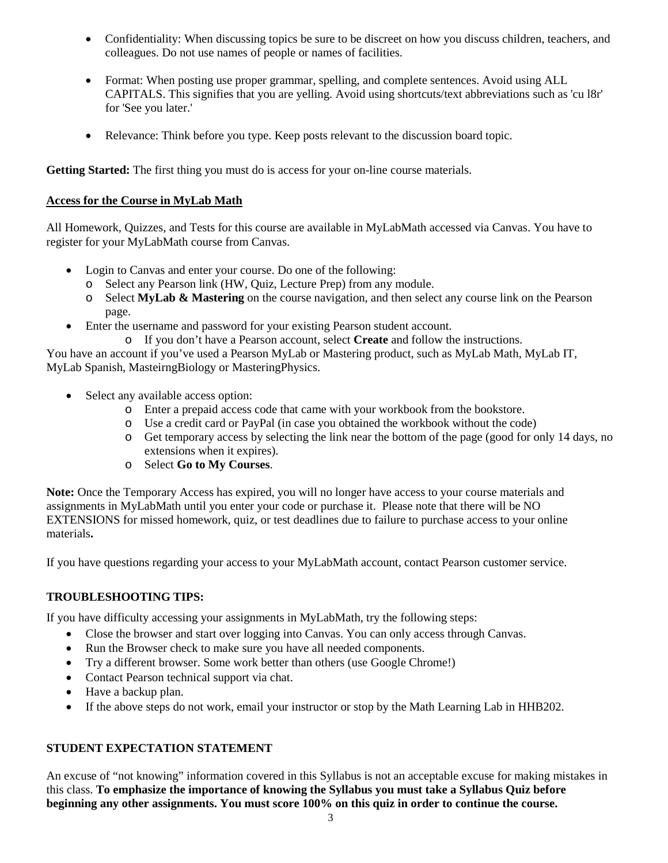- Confidentiality: When discussing topics be sure to be discreet on how you discuss children, teachers, and colleagues. Do not use names of people or names of facilities.
- Format: When posting use proper grammar, spelling, and complete sentences. Avoid using ALL CAPITALS. This signifies that you are yelling. Avoid using shortcuts/text abbreviations such as 'cu l8r' for 'See you later.'
- Relevance: Think before you type. Keep posts relevant to the discussion board topic.

**Getting Started:** The first thing you must do is access for your on-line course materials.

### **Access for the Course in MyLab Math**

All Homework, Quizzes, and Tests for this course are available in MyLabMath accessed via Canvas. You have to register for your MyLabMath course from Canvas.

- Login to Canvas and enter your course. Do one of the following:
	- o Select any Pearson link (HW, Quiz, Lecture Prep) from any module.
	- o Select **MyLab & Mastering** on the course navigation, and then select any course link on the Pearson page.
- Enter the username and password for your existing Pearson student account.
	- o If you don't have a Pearson account, select **Create** and follow the instructions.

You have an account if you've used a Pearson MyLab or Mastering product, such as MyLab Math, MyLab IT, MyLab Spanish, MasteirngBiology or MasteringPhysics.

- Select any available access option:
	- o Enter a prepaid access code that came with your workbook from the bookstore.
	- o Use a credit card or PayPal (in case you obtained the workbook without the code)
	- o Get temporary access by selecting the link near the bottom of the page (good for only 14 days, no extensions when it expires).
	- o Select **Go to My Courses**.

**Note:** Once the Temporary Access has expired, you will no longer have access to your course materials and assignments in MyLabMath until you enter your code or purchase it. Please note that there will be NO EXTENSIONS for missed homework, quiz, or test deadlines due to failure to purchase access to your online materials**.**

If you have questions regarding your access to your MyLabMath account, contact Pearson customer service.

### **TROUBLESHOOTING TIPS:**

If you have difficulty accessing your assignments in MyLabMath, try the following steps:

- Close the browser and start over logging into Canvas. You can only access through Canvas.
- Run the Browser check to make sure you have all needed components.
- Try a different browser. Some work better than others (use Google Chrome!)
- Contact Pearson technical support via chat.
- Have a backup plan.
- If the above steps do not work, email your instructor or stop by the Math Learning Lab in HHB202.

## **STUDENT EXPECTATION STATEMENT**

An excuse of "not knowing" information covered in this Syllabus is not an acceptable excuse for making mistakes in this class. **To emphasize the importance of knowing the Syllabus you must take a Syllabus Quiz before beginning any other assignments. You must score 100% on this quiz in order to continue the course.**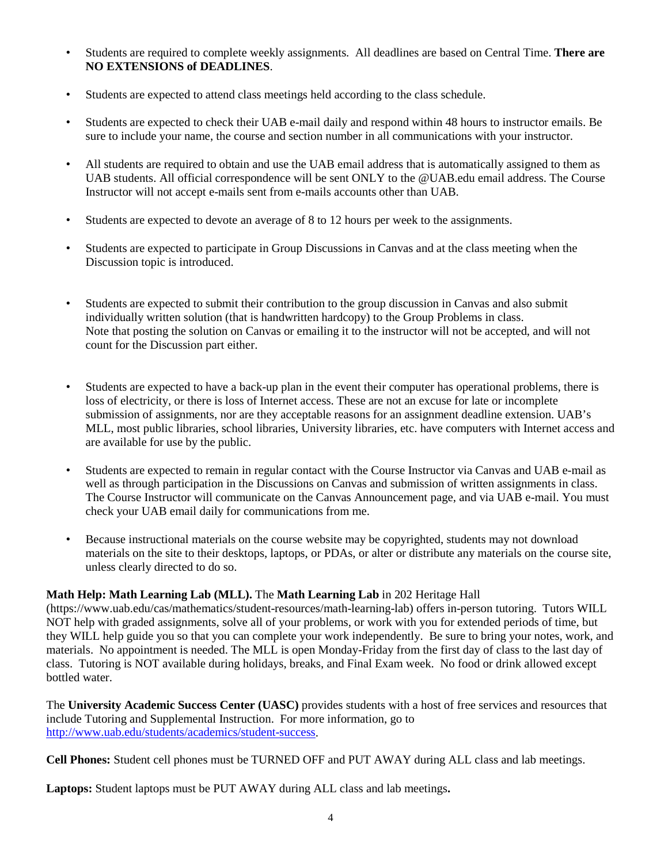- Students are required to complete weekly assignments. All deadlines are based on Central Time. **There are NO EXTENSIONS of DEADLINES**.
- Students are expected to attend class meetings held according to the class schedule.
- Students are expected to check their UAB e-mail daily and respond within 48 hours to instructor emails. Be sure to include your name, the course and section number in all communications with your instructor.
- All students are required to obtain and use the UAB email address that is automatically assigned to them as UAB students. All official correspondence will be sent ONLY to the @UAB.edu email address. The Course Instructor will not accept e-mails sent from e-mails accounts other than UAB.
- Students are expected to devote an average of 8 to 12 hours per week to the assignments.
- Students are expected to participate in Group Discussions in Canvas and at the class meeting when the Discussion topic is introduced.
- Students are expected to submit their contribution to the group discussion in Canvas and also submit individually written solution (that is handwritten hardcopy) to the Group Problems in class. Note that posting the solution on Canvas or emailing it to the instructor will not be accepted, and will not count for the Discussion part either.
- Students are expected to have a back-up plan in the event their computer has operational problems, there is loss of electricity, or there is loss of Internet access. These are not an excuse for late or incomplete submission of assignments, nor are they acceptable reasons for an assignment deadline extension. UAB's MLL, most public libraries, school libraries, University libraries, etc. have computers with Internet access and are available for use by the public.
- Students are expected to remain in regular contact with the Course Instructor via Canvas and UAB e-mail as well as through participation in the Discussions on Canvas and submission of written assignments in class. The Course Instructor will communicate on the Canvas Announcement page, and via UAB e-mail. You must check your UAB email daily for communications from me.
- Because instructional materials on the course website may be copyrighted, students may not download materials on the site to their desktops, laptops, or PDAs, or alter or distribute any materials on the course site, unless clearly directed to do so.

### **Math Help: Math Learning Lab (MLL).** The **Math Learning Lab** in 202 Heritage Hall

(https://www.uab.edu/cas/mathematics/student-resources/math-learning-lab) offers in-person tutoring. Tutors WILL NOT help with graded assignments, solve all of your problems, or work with you for extended periods of time, but they WILL help guide you so that you can complete your work independently. Be sure to bring your notes, work, and materials. No appointment is needed. The MLL is open Monday-Friday from the first day of class to the last day of class. Tutoring is NOT available during holidays, breaks, and Final Exam week. No food or drink allowed except bottled water.

The **University Academic Success Center (UASC)** provides students with a host of free services and resources that include Tutoring and Supplemental Instruction. For more information, go to http://www.uab.edu/students/academics/student-success.

**Cell Phones:** Student cell phones must be TURNED OFF and PUT AWAY during ALL class and lab meetings.

**Laptops:** Student laptops must be PUT AWAY during ALL class and lab meetings**.**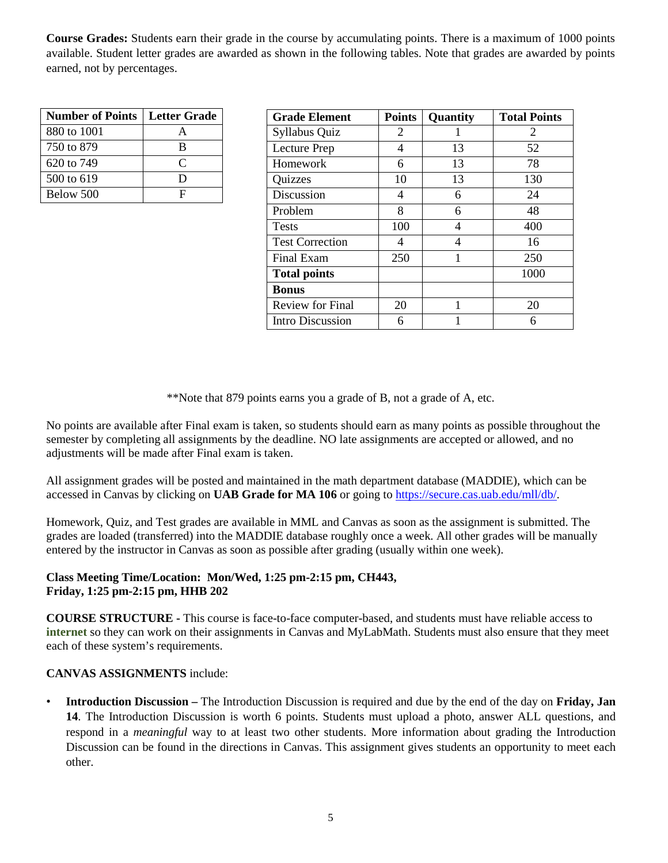**Course Grades:** Students earn their grade in the course by accumulating points. There is a maximum of 1000 points available. Student letter grades are awarded as shown in the following tables. Note that grades are awarded by points earned, not by percentages.

| <b>Number of Points</b> | <b>Letter Grade</b> |
|-------------------------|---------------------|
| 880 to 1001             |                     |
| 750 to 879              | В                   |
| 620 to 749              | $\subset$           |
| 500 to 619              | I)                  |
| Below 500               | п                   |

| <b>Grade Element</b>    | <b>Points</b> | <b>Quantity</b> | <b>Total Points</b> |
|-------------------------|---------------|-----------------|---------------------|
| Syllabus Quiz           | 2             |                 | 2                   |
| Lecture Prep            | 4             | 13              | 52                  |
| Homework                | 6             | 13              | 78                  |
| Quizzes                 | 10            | 13              | 130                 |
| Discussion              | 4             | 6               | 24                  |
| Problem                 | 8             | 6               | 48                  |
| <b>Tests</b>            | 100           | 4               | 400                 |
| <b>Test Correction</b>  | 4             | 4               | 16                  |
| Final Exam              | 250           | 1               | 250                 |
| <b>Total points</b>     |               |                 | 1000                |
| <b>Bonus</b>            |               |                 |                     |
| <b>Review for Final</b> | 20            | 1               | 20                  |
| Intro Discussion        | 6             |                 | 6                   |

\*\*Note that 879 points earns you a grade of B, not a grade of A, etc.

No points are available after Final exam is taken, so students should earn as many points as possible throughout the semester by completing all assignments by the deadline. NO late assignments are accepted or allowed, and no adjustments will be made after Final exam is taken.

All assignment grades will be posted and maintained in the math department database (MADDIE), which can be accessed in Canvas by clicking on **UAB Grade for MA 106** or going to https://secure.cas.uab.edu/mll/db/.

Homework, Quiz, and Test grades are available in MML and Canvas as soon as the assignment is submitted. The grades are loaded (transferred) into the MADDIE database roughly once a week. All other grades will be manually entered by the instructor in Canvas as soon as possible after grading (usually within one week).

#### **Class Meeting Time/Location: Mon/Wed, 1:25 pm-2:15 pm, CH443, Friday, 1:25 pm-2:15 pm, HHB 202**

**COURSE STRUCTURE -** This course is face-to-face computer-based, and students must have reliable access to **internet** so they can work on their assignments in Canvas and MyLabMath. Students must also ensure that they meet each of these system's requirements.

### **CANVAS ASSIGNMENTS** include:

• **Introduction Discussion –** The Introduction Discussion is required and due by the end of the day on **Friday, Jan 14**. The Introduction Discussion is worth 6 points. Students must upload a photo, answer ALL questions, and respond in a *meaningful* way to at least two other students. More information about grading the Introduction Discussion can be found in the directions in Canvas. This assignment gives students an opportunity to meet each other.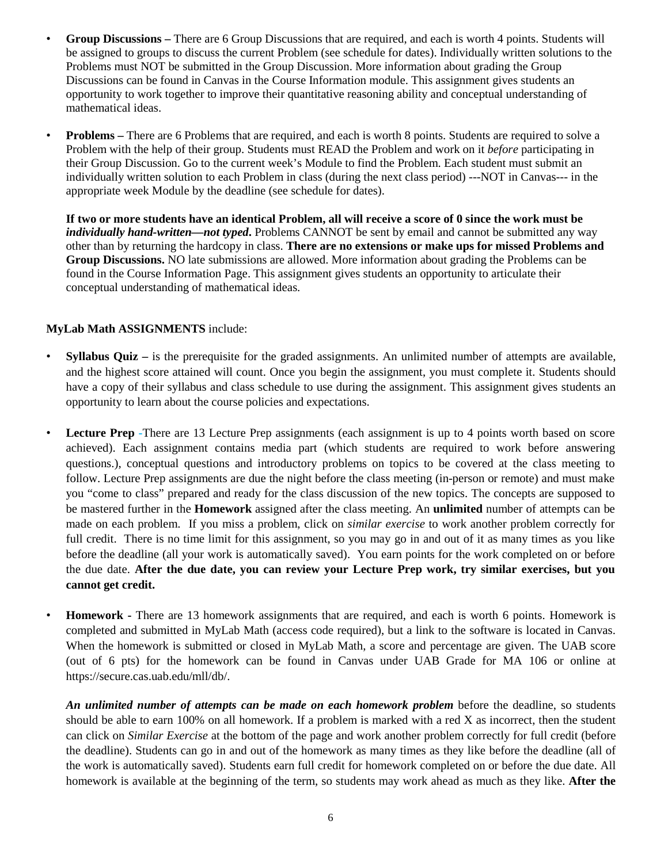- **Group Discussions –** There are 6 Group Discussions that are required, and each is worth 4 points. Students will be assigned to groups to discuss the current Problem (see schedule for dates). Individually written solutions to the Problems must NOT be submitted in the Group Discussion. More information about grading the Group Discussions can be found in Canvas in the Course Information module. This assignment gives students an opportunity to work together to improve their quantitative reasoning ability and conceptual understanding of mathematical ideas.
- **Problems –** There are 6 Problems that are required, and each is worth 8 points. Students are required to solve a Problem with the help of their group. Students must READ the Problem and work on it *before* participating in their Group Discussion. Go to the current week's Module to find the Problem. Each student must submit an individually written solution to each Problem in class (during the next class period) ---NOT in Canvas--- in the appropriate week Module by the deadline (see schedule for dates).

**If two or more students have an identical Problem, all will receive a score of 0 since the work must be**  *individually hand-written—not typed*. Problems CANNOT be sent by email and cannot be submitted any way other than by returning the hardcopy in class. **There are no extensions or make ups for missed Problems and Group Discussions.** NO late submissions are allowed. More information about grading the Problems can be found in the Course Information Page. This assignment gives students an opportunity to articulate their conceptual understanding of mathematical ideas.

#### **MyLab Math ASSIGNMENTS** include:

- **Syllabus Quiz –** is the prerequisite for the graded assignments. An unlimited number of attempts are available, and the highest score attained will count. Once you begin the assignment, you must complete it. Students should have a copy of their syllabus and class schedule to use during the assignment. This assignment gives students an opportunity to learn about the course policies and expectations.
- **Lecture Prep -**There are 13 Lecture Prep assignments (each assignment is up to 4 points worth based on score achieved). Each assignment contains media part (which students are required to work before answering questions.), conceptual questions and introductory problems on topics to be covered at the class meeting to follow. Lecture Prep assignments are due the night before the class meeting (in-person or remote) and must make you "come to class" prepared and ready for the class discussion of the new topics. The concepts are supposed to be mastered further in the **Homework** assigned after the class meeting. An **unlimited** number of attempts can be made on each problem. If you miss a problem, click on *similar exercise* to work another problem correctly for full credit. There is no time limit for this assignment, so you may go in and out of it as many times as you like before the deadline (all your work is automatically saved). You earn points for the work completed on or before the due date. **After the due date, you can review your Lecture Prep work, try similar exercises, but you cannot get credit.**
- **Homework -** There are 13 homework assignments that are required, and each is worth 6 points. Homework is completed and submitted in MyLab Math (access code required), but a link to the software is located in Canvas. When the homework is submitted or closed in MyLab Math, a score and percentage are given. The UAB score (out of 6 pts) for the homework can be found in Canvas under UAB Grade for MA 106 or online at https://secure.cas.uab.edu/mll/db/.

*An unlimited number of attempts can be made on each homework problem* before the deadline, so students should be able to earn 100% on all homework. If a problem is marked with a red X as incorrect, then the student can click on *Similar Exercise* at the bottom of the page and work another problem correctly for full credit (before the deadline). Students can go in and out of the homework as many times as they like before the deadline (all of the work is automatically saved). Students earn full credit for homework completed on or before the due date. All homework is available at the beginning of the term, so students may work ahead as much as they like. **After the**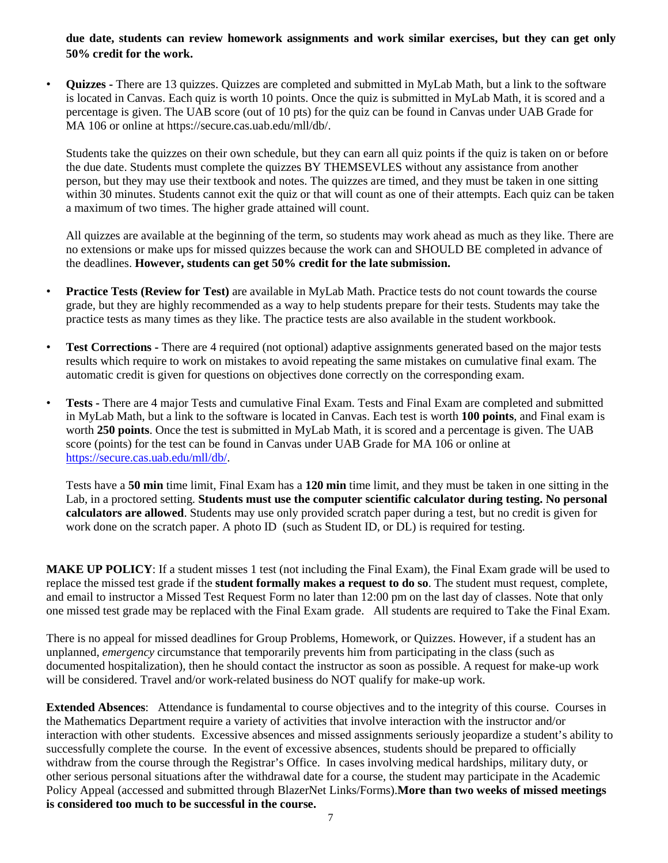**due date, students can review homework assignments and work similar exercises, but they can get only 50% credit for the work.** 

• **Quizzes -** There are 13 quizzes. Quizzes are completed and submitted in MyLab Math, but a link to the software is located in Canvas. Each quiz is worth 10 points. Once the quiz is submitted in MyLab Math, it is scored and a percentage is given. The UAB score (out of 10 pts) for the quiz can be found in Canvas under UAB Grade for MA 106 or online at https://secure.cas.uab.edu/mll/db/.

Students take the quizzes on their own schedule, but they can earn all quiz points if the quiz is taken on or before the due date. Students must complete the quizzes BY THEMSEVLES without any assistance from another person, but they may use their textbook and notes. The quizzes are timed, and they must be taken in one sitting within 30 minutes. Students cannot exit the quiz or that will count as one of their attempts. Each quiz can be taken a maximum of two times. The higher grade attained will count.

All quizzes are available at the beginning of the term, so students may work ahead as much as they like. There are no extensions or make ups for missed quizzes because the work can and SHOULD BE completed in advance of the deadlines. **However, students can get 50% credit for the late submission.**

- **Practice Tests (Review for Test)** are available in MyLab Math. Practice tests do not count towards the course grade, but they are highly recommended as a way to help students prepare for their tests. Students may take the practice tests as many times as they like. The practice tests are also available in the student workbook.
- **Test Corrections -** There are 4 required (not optional) adaptive assignments generated based on the major tests results which require to work on mistakes to avoid repeating the same mistakes on cumulative final exam. The automatic credit is given for questions on objectives done correctly on the corresponding exam.
- **Tests -** There are 4 major Tests and cumulative Final Exam. Tests and Final Exam are completed and submitted in MyLab Math, but a link to the software is located in Canvas. Each test is worth **100 points**, and Final exam is worth **250 points**. Once the test is submitted in MyLab Math, it is scored and a percentage is given. The UAB score (points) for the test can be found in Canvas under UAB Grade for MA 106 or online at https://secure.cas.uab.edu/mll/db/.

Tests have a **50 min** time limit, Final Exam has a **120 min** time limit, and they must be taken in one sitting in the Lab, in a proctored setting. **Students must use the computer scientific calculator during testing. No personal calculators are allowed**. Students may use only provided scratch paper during a test, but no credit is given for work done on the scratch paper. A photo ID (such as Student ID, or DL) is required for testing.

**MAKE UP POLICY**: If a student misses 1 test (not including the Final Exam), the Final Exam grade will be used to replace the missed test grade if the **student formally makes a request to do so**. The student must request, complete, and email to instructor a Missed Test Request Form no later than 12:00 pm on the last day of classes. Note that only one missed test grade may be replaced with the Final Exam grade. All students are required to Take the Final Exam.

There is no appeal for missed deadlines for Group Problems, Homework, or Quizzes. However, if a student has an unplanned, *emergency* circumstance that temporarily prevents him from participating in the class (such as documented hospitalization), then he should contact the instructor as soon as possible. A request for make-up work will be considered. Travel and/or work-related business do NOT qualify for make-up work.

**Extended Absences**: Attendance is fundamental to course objectives and to the integrity of this course. Courses in the Mathematics Department require a variety of activities that involve interaction with the instructor and/or interaction with other students. Excessive absences and missed assignments seriously jeopardize a student's ability to successfully complete the course. In the event of excessive absences, students should be prepared to officially withdraw from the course through the Registrar's Office. In cases involving medical hardships, military duty, or other serious personal situations after the withdrawal date for a course, the student may participate in the Academic Policy Appeal (accessed and submitted through BlazerNet Links/Forms).**More than two weeks of missed meetings is considered too much to be successful in the course.**